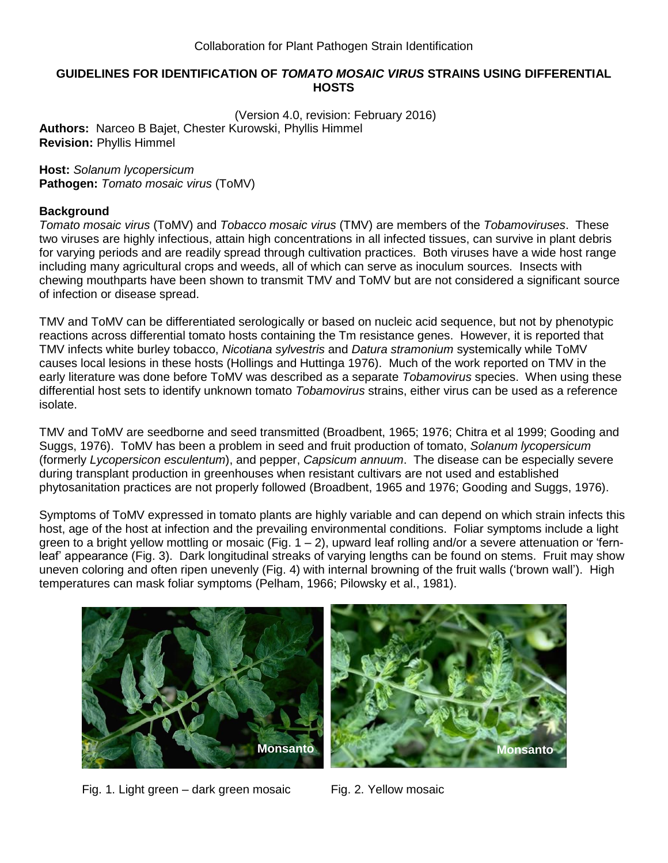# **GUIDELINES FOR IDENTIFICATION OF** *TOMATO MOSAIC VIRUS* **STRAINS USING DIFFERENTIAL HOSTS**

(Version 4.0, revision: February 2016) **Authors:** Narceo B Bajet, Chester Kurowski, Phyllis Himmel **Revision:** Phyllis Himmel

#### **Host:** *Solanum lycopersicum* **Pathogen:** *Tomato mosaic virus* (ToMV)

# **Background**

*Tomato mosaic virus* (ToMV) and *Tobacco mosaic virus* (TMV) are members of the *Tobamoviruses*. These two viruses are highly infectious, attain high concentrations in all infected tissues, can survive in plant debris for varying periods and are readily spread through cultivation practices. Both viruses have a wide host range including many agricultural crops and weeds, all of which can serve as inoculum sources. Insects with chewing mouthparts have been shown to transmit TMV and ToMV but are not considered a significant source of infection or disease spread.

TMV and ToMV can be differentiated serologically or based on nucleic acid sequence, but not by phenotypic reactions across differential tomato hosts containing the Tm resistance genes. However, it is reported that TMV infects white burley tobacco, *Nicotiana sylvestris* and *Datura stramonium* systemically while ToMV causes local lesions in these hosts (Hollings and Huttinga 1976). Much of the work reported on TMV in the early literature was done before ToMV was described as a separate *Tobamovirus* species. When using these differential host sets to identify unknown tomato *Tobamovirus* strains, either virus can be used as a reference isolate.

TMV and ToMV are seedborne and seed transmitted (Broadbent, 1965; 1976; Chitra et al 1999; Gooding and Suggs, 1976). ToMV has been a problem in seed and fruit production of tomato, *Solanum lycopersicum* (formerly *Lycopersicon esculentum*), and pepper, *Capsicum annuum*. The disease can be especially severe during transplant production in greenhouses when resistant cultivars are not used and established phytosanitation practices are not properly followed (Broadbent, 1965 and 1976; Gooding and Suggs, 1976).

Symptoms of ToMV expressed in tomato plants are highly variable and can depend on which strain infects this host, age of the host at infection and the prevailing environmental conditions. Foliar symptoms include a light green to a bright yellow mottling or mosaic (Fig.  $1 - 2$ ), upward leaf rolling and/or a severe attenuation or 'fernleaf' appearance (Fig. 3). Dark longitudinal streaks of varying lengths can be found on stems. Fruit may show uneven coloring and often ripen unevenly (Fig. 4) with internal browning of the fruit walls ('brown wall'). High temperatures can mask foliar symptoms (Pelham, 1966; Pilowsky et al., 1981).



Fig. 1. Light green – dark green mosaic Fig. 2. Yellow mosaic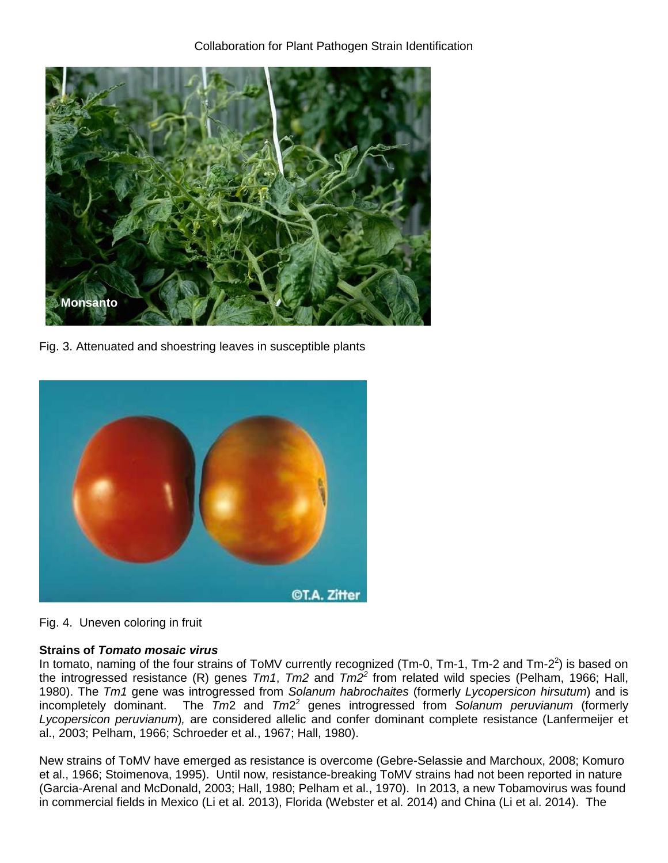

Fig. 3. Attenuated and shoestring leaves in susceptible plants



Fig. 4. Uneven coloring in fruit

# **Strains of** *Tomato mosaic virus*

In tomato, naming of the four strains of ToMV currently recognized (Tm-0, Tm-1, Tm-2 and Tm-2<sup>2</sup>) is based on the introgressed resistance (R) genes *Tm1*, *Tm2* and *Tm2 2* from related wild species (Pelham, 1966; Hall, 1980). The *Tm1* gene was introgressed from *Solanum habrochaites* (formerly *Lycopersicon hirsutum*) and is incompletely dominant. The *Tm*2 and *Tm*2 2 genes introgressed from *Solanum peruvianum* (formerly *Lycopersicon peruvianum*)*,* are considered allelic and confer dominant complete resistance (Lanfermeijer et al., 2003; Pelham, 1966; Schroeder et al., 1967; Hall, 1980).

New strains of ToMV have emerged as resistance is overcome (Gebre-Selassie and Marchoux, 2008; Komuro et al., 1966; Stoimenova, 1995). Until now, resistance-breaking ToMV strains had not been reported in nature (Garcia-Arenal and McDonald, 2003; Hall, 1980; Pelham et al., 1970). In 2013, a new Tobamovirus was found in commercial fields in Mexico (Li et al. 2013), Florida (Webster et al. 2014) and China (Li et al. 2014). The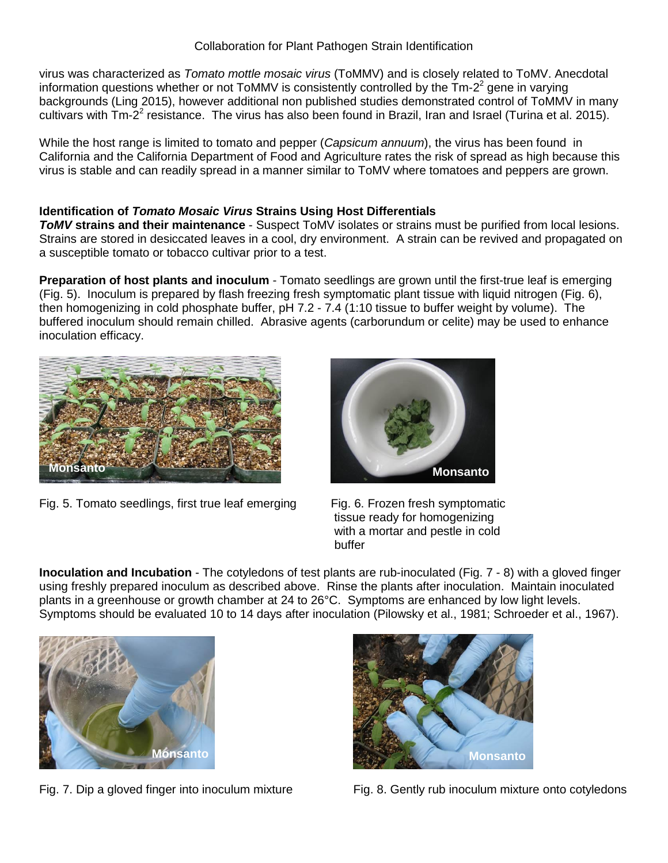# Collaboration for Plant Pathogen Strain Identification

virus was characterized as *Tomato mottle mosaic virus* (ToMMV) and is closely related to ToMV. Anecdotal information questions whether or not ToMMV is consistently controlled by the  $\text{Im-}2^2$  gene in varying backgrounds (Ling 2015), however additional non published studies demonstrated control of ToMMV in many cultivars with  $\text{Im-}2^2$  resistance. The virus has also been found in Brazil, Iran and Israel (Turina et al. 2015).

While the host range is limited to tomato and pepper (*Capsicum annuum*), the virus has been found in California and the California Department of Food and Agriculture rates the risk of spread as high because this virus is stable and can readily spread in a manner similar to ToMV where tomatoes and peppers are grown.

# **Identification of** *Tomato Mosaic Virus* **Strains Using Host Differentials**

*ToMV* **strains and their maintenance** - Suspect ToMV isolates or strains must be purified from local lesions. Strains are stored in desiccated leaves in a cool, dry environment. A strain can be revived and propagated on a susceptible tomato or tobacco cultivar prior to a test.

**Preparation of host plants and inoculum** - Tomato seedlings are grown until the first-true leaf is emerging (Fig. 5). Inoculum is prepared by flash freezing fresh symptomatic plant tissue with liquid nitrogen (Fig. 6), then homogenizing in cold phosphate buffer, pH 7.2 - 7.4 (1:10 tissue to buffer weight by volume). The buffered inoculum should remain chilled. Abrasive agents (carborundum or celite) may be used to enhance inoculation efficacy.



Fig. 5. Tomato seedlings, first true leaf emerging Fig. 6. Frozen fresh symptomatic



 tissue ready for homogenizing with a mortar and pestle in cold buffer

**Inoculation and Incubation** - The cotyledons of test plants are rub-inoculated (Fig. 7 - 8) with a gloved finger using freshly prepared inoculum as described above. Rinse the plants after inoculation. Maintain inoculated plants in a greenhouse or growth chamber at 24 to 26°C. Symptoms are enhanced by low light levels. Symptoms should be evaluated 10 to 14 days after inoculation (Pilowsky et al., 1981; Schroeder et al., 1967).





Fig. 7. Dip a gloved finger into inoculum mixture Fig. 8. Gently rub inoculum mixture onto cotyledons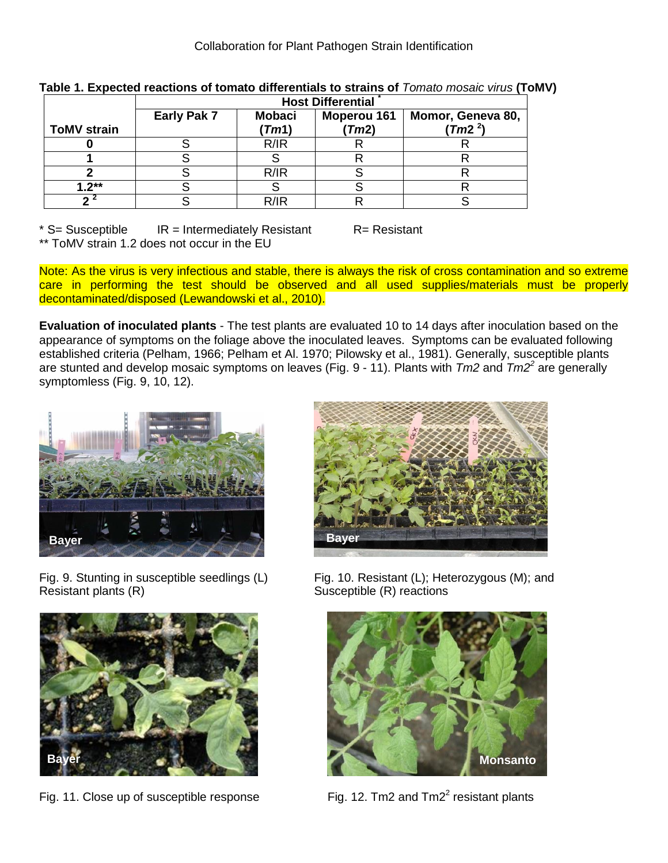|                    | <b>Host Differential</b> |               |                    |                     |
|--------------------|--------------------------|---------------|--------------------|---------------------|
|                    | Early Pak 7              | <b>Mobaci</b> | <b>Moperou 161</b> | Momor, Geneva 80,   |
| <b>ToMV strain</b> |                          | (Tm1)         | (Tm2)              | (Tm2 <sup>2</sup> ) |
|                    |                          | R/IR          |                    |                     |
|                    |                          |               |                    |                     |
|                    |                          | R/IR          |                    |                     |
| $1.2***$           |                          |               |                    |                     |
|                    |                          | R/IR          |                    |                     |

**Table 1. Expected reactions of tomato differentials to strains of** *Tomato mosaic virus* **(ToMV)**

 $*$  S= Susceptible IR = Intermediately Resistant R= Resistant \*\* ToMV strain 1.2 does not occur in the EU

Note: As the virus is very infectious and stable, there is always the risk of cross contamination and so extreme care in performing the test should be observed and all used supplies/materials must be properly decontaminated/disposed (Lewandowski et al., 2010).

**Evaluation of inoculated plants** - The test plants are evaluated 10 to 14 days after inoculation based on the appearance of symptoms on the foliage above the inoculated leaves. Symptoms can be evaluated following established criteria (Pelham, 1966; Pelham et Al. 1970; Pilowsky et al., 1981). Generally, susceptible plants are stunted and develop mosaic symptoms on leaves (Fig. 9 - 11). Plants with *Tm2* and *Tm2<sup>2</sup>* are generally symptomless (Fig. 9, 10, 12).



Resistant plants (R) Susceptible (R) reactions



Fig. 11. Close up of susceptible response



Fig. 9. Stunting in susceptible seedlings (L) Fig. 10. Resistant (L); Heterozygous (M); and



Fig. 12. Tm2 and  $Tm2<sup>2</sup>$  resistant plants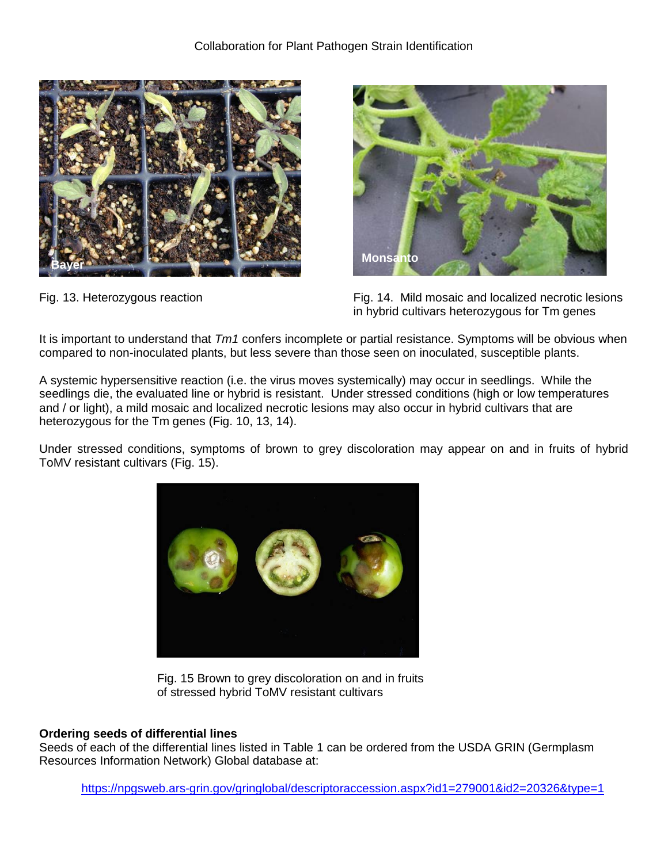



Fig. 13. Heterozygous reaction Fig. 14. Mild mosaic and localized necrotic lesions in hybrid cultivars heterozygous for Tm genes

It is important to understand that *Tm1* confers incomplete or partial resistance. Symptoms will be obvious when compared to non-inoculated plants, but less severe than those seen on inoculated, susceptible plants.

A systemic hypersensitive reaction (i.e. the virus moves systemically) may occur in seedlings. While the seedlings die, the evaluated line or hybrid is resistant. Under stressed conditions (high or low temperatures and / or light), a mild mosaic and localized necrotic lesions may also occur in hybrid cultivars that are heterozygous for the Tm genes (Fig. 10, 13, 14).

Under stressed conditions, symptoms of brown to grey discoloration may appear on and in fruits of hybrid ToMV resistant cultivars (Fig. 15).



Fig. 15 Brown to grey discoloration on and in fruits of stressed hybrid ToMV resistant cultivars

# **Ordering seeds of differential lines**

Seeds of each of the differential lines listed in Table 1 can be ordered from the USDA GRIN (Germplasm Resources Information Network) Global database at:

<https://npgsweb.ars-grin.gov/gringlobal/descriptoraccession.aspx?id1=279001&id2=20326&type=1>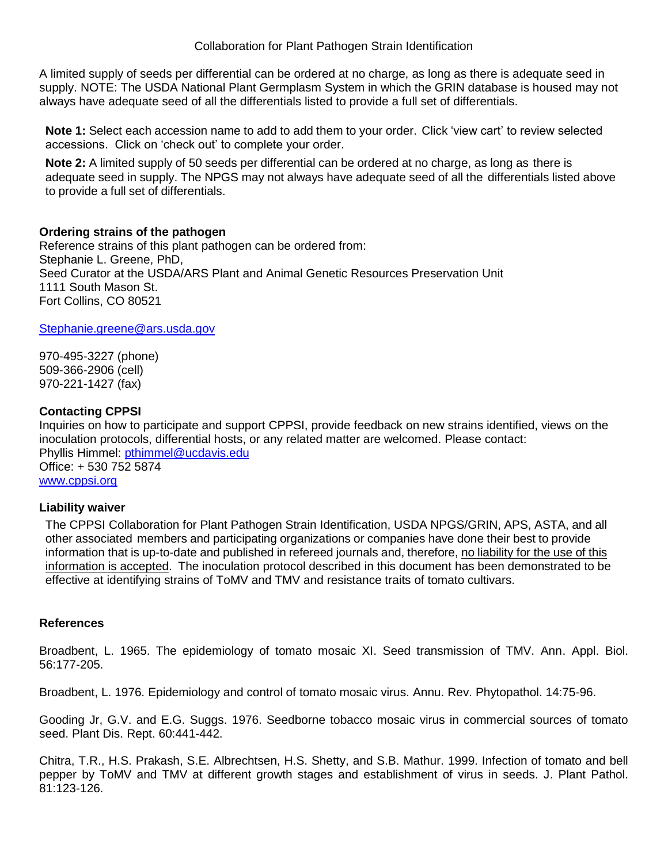A limited supply of seeds per differential can be ordered at no charge, as long as there is adequate seed in supply. NOTE: The USDA National Plant Germplasm System in which the GRIN database is housed may not always have adequate seed of all the differentials listed to provide a full set of differentials.

**Note 1:** Select each accession name to add to add them to your order. Click 'view cart' to review selected accessions. Click on 'check out' to complete your order.

**Note 2:** A limited supply of 50 seeds per differential can be ordered at no charge, as long as there is adequate seed in supply. The NPGS may not always have adequate seed of all the differentials listed above to provide a full set of differentials.

#### **Ordering strains of the pathogen**

Reference strains of this plant pathogen can be ordered from: Stephanie L. Greene, PhD, Seed Curator at the USDA/ARS Plant and Animal Genetic Resources Preservation Unit 1111 South Mason St. Fort Collins, CO 80521

#### [Stephanie.greene@ars.usda.gov](mailto:Stephanie.greene@ars.usda.gov)

970-495-3227 (phone) 509-366-2906 (cell) 970-221-1427 (fax)

# **Contacting CPPSI**

Inquiries on how to participate and support CPPSI, provide feedback on new strains identified, views on the inoculation protocols, differential hosts, or any related matter are welcomed. Please contact: Phyllis Himmel: [pthimmel@ucdavis.edu](mailto:pthimmel@ucdavis.edu) Office: + 530 752 5874 [www.cppsi.org](http://www.cppsi.org/)

# **Liability waiver**

The CPPSI Collaboration for Plant Pathogen Strain Identification, USDA NPGS/GRIN, APS, ASTA, and all other associated members and participating organizations or companies have done their best to provide information that is up-to-date and published in refereed journals and, therefore, no liability for the use of this information is accepted. The inoculation protocol described in this document has been demonstrated to be effective at identifying strains of ToMV and TMV and resistance traits of tomato cultivars.

# **References**

Broadbent, L. 1965. The epidemiology of tomato mosaic XI. Seed transmission of TMV. Ann. Appl. Biol. 56:177-205.

Broadbent, L. 1976. Epidemiology and control of tomato mosaic virus. Annu. Rev. Phytopathol. 14:75-96.

Gooding Jr, G.V. and E.G. Suggs. 1976. Seedborne tobacco mosaic virus in commercial sources of tomato seed. Plant Dis. Rept. 60:441-442.

Chitra, T.R., H.S. Prakash, S.E. Albrechtsen, H.S. Shetty, and S.B. Mathur. 1999. Infection of tomato and bell pepper by ToMV and TMV at different growth stages and establishment of virus in seeds. J. Plant Pathol. 81:123-126.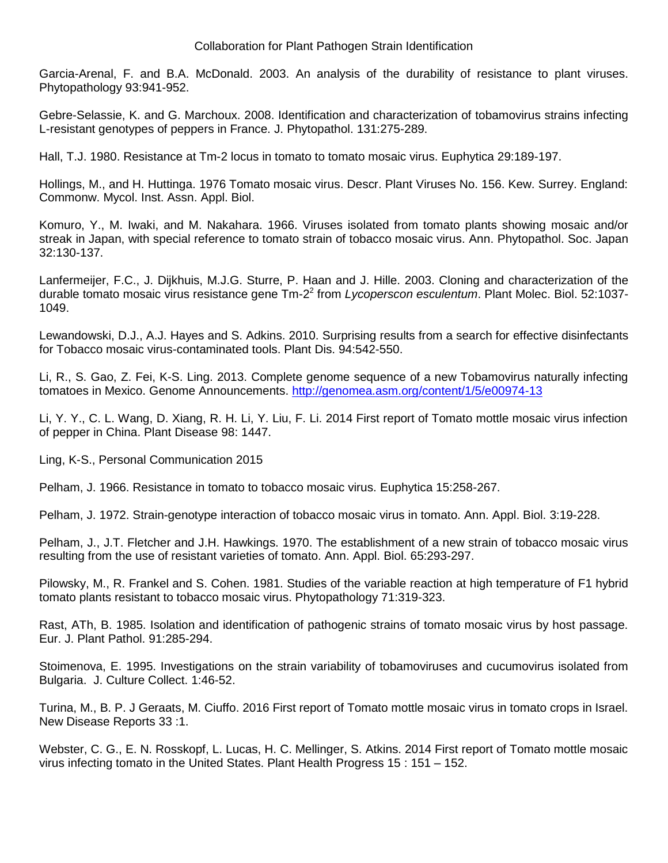Collaboration for Plant Pathogen Strain Identification

Garcia-Arenal, F. and B.A. McDonald. 2003. An analysis of the durability of resistance to plant viruses. Phytopathology 93:941-952.

Gebre-Selassie, K. and G. Marchoux. 2008. Identification and characterization of tobamovirus strains infecting L-resistant genotypes of peppers in France. J. Phytopathol. 131:275-289.

Hall, T.J. 1980. Resistance at Tm-2 locus in tomato to tomato mosaic virus. Euphytica 29:189-197.

Hollings, M., and H. Huttinga. 1976 Tomato mosaic virus. Descr. Plant Viruses No. 156. Kew. Surrey. England: Commonw. Mycol. Inst. Assn. Appl. Biol.

Komuro, Y., M. Iwaki, and M. Nakahara. 1966. Viruses isolated from tomato plants showing mosaic and/or streak in Japan, with special reference to tomato strain of tobacco mosaic virus. Ann. Phytopathol. Soc. Japan 32:130-137.

Lanfermeijer, F.C., J. Dijkhuis, M.J.G. Sturre, P. Haan and J. Hille. 2003. Cloning and characterization of the durable tomato mosaic virus resistance gene Tm-2 2 from *Lycoperscon esculentum*. Plant Molec. Biol. 52:1037- 1049.

Lewandowski, D.J., A.J. Hayes and S. Adkins. 2010. Surprising results from a search for effective disinfectants for Tobacco mosaic virus-contaminated tools. Plant Dis. 94:542-550.

Li, R., S. Gao, Z. Fei, K-S. Ling. 2013. Complete genome sequence of a new Tobamovirus naturally infecting tomatoes in Mexico. Genome Announcements.<http://genomea.asm.org/content/1/5/e00974-13>

Li, Y. Y., C. L. Wang, D. Xiang, R. H. Li, Y. Liu, F. Li. 2014 First report of Tomato mottle mosaic virus infection of pepper in China. Plant Disease 98: 1447.

Ling, K-S., Personal Communication 2015

Pelham, J. 1966. Resistance in tomato to tobacco mosaic virus. Euphytica 15:258-267.

Pelham, J. 1972. Strain-genotype interaction of tobacco mosaic virus in tomato. Ann. Appl. Biol. 3:19-228.

Pelham, J., J.T. Fletcher and J.H. Hawkings. 1970. The establishment of a new strain of tobacco mosaic virus resulting from the use of resistant varieties of tomato. Ann. Appl. Biol. 65:293-297.

Pilowsky, M., R. Frankel and S. Cohen. 1981. Studies of the variable reaction at high temperature of F1 hybrid tomato plants resistant to tobacco mosaic virus. Phytopathology 71:319-323.

Rast, ATh, B. 1985. Isolation and identification of pathogenic strains of tomato mosaic virus by host passage. Eur. J. Plant Pathol. 91:285-294.

Stoimenova, E. 1995. Investigations on the strain variability of tobamoviruses and cucumovirus isolated from Bulgaria. J. Culture Collect. 1:46-52.

Turina, M., B. P. J Geraats, M. Ciuffo. 2016 First report of Tomato mottle mosaic virus in tomato crops in Israel. New Disease Reports 33 :1.

Webster, C. G., E. N. Rosskopf, L. Lucas, H. C. Mellinger, S. Atkins. 2014 First report of Tomato mottle mosaic virus infecting tomato in the United States. Plant Health Progress 15 : 151 – 152.